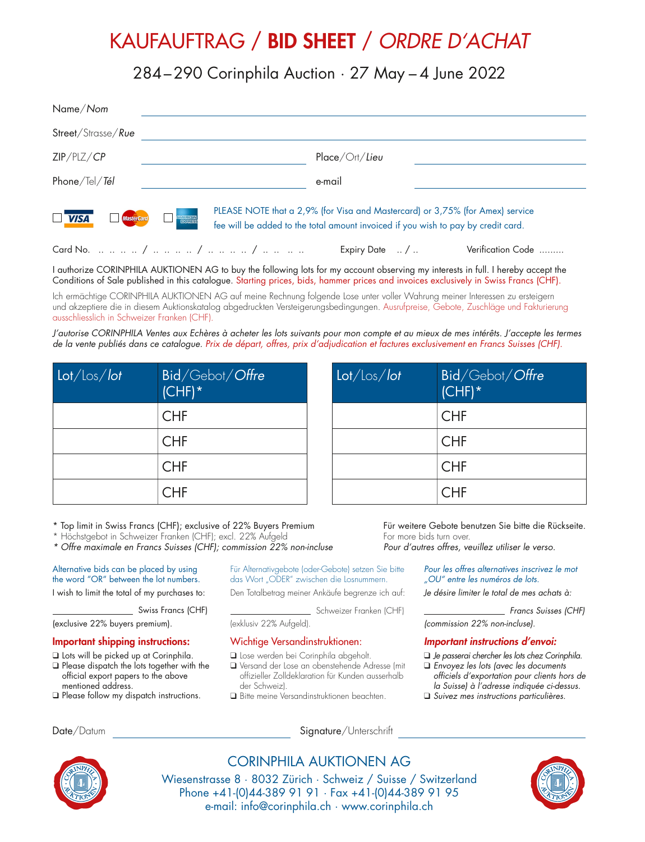# KAUFAUFTRAG / BID SHEET / *ORDRE D'ACHAT*

284–290 Corinphila Auction · 27 May – 4 June 2022

| Name/Nom                                                                                                       |                                                                                                                                                                    |
|----------------------------------------------------------------------------------------------------------------|--------------------------------------------------------------------------------------------------------------------------------------------------------------------|
| Street/Strasse/Rue                                                                                             |                                                                                                                                                                    |
| ZIP/PLZ/CP                                                                                                     | Place/Ort/Lieu                                                                                                                                                     |
| Phone/Tel/Tél                                                                                                  | e-mail                                                                                                                                                             |
| $\overline{\mathsf{V}$ $\mathsf{V}$ $\mathsf{S}\mathsf{A}$<br><b>MasterCard</b><br><b>AMERICAN</b><br>EXPLASES | PLEASE NOTE that a 2,9% (for Visa and Mastercard) or 3,75% (for Amex) service<br>fee will be added to the total amount invoiced if you wish to pay by credit card. |
|                                                                                                                | Verification Code<br>Expiry Date $\ldots$ / $\ldots$                                                                                                               |

I authorize CORINPHILA AUKTIONEN AG to buy the following lots for my account observing my interests in full. I hereby accept the Conditions of Sale published in this catalogue. Starting prices, bids, hammer prices and invoices exclusively in Swiss Francs (CHF).

Ich ermächtige CORINPHILA AUKTIONEN AG auf meine Rechnung folgende Lose unter voller Wahrung meiner Interessen zu ersteigern und akzeptiere die in diesem Auktionskatalog abgedruckten Versteigerungsbedingungen. Ausrufpreise, Gebote, Zuschläge und Fakturierung ausschliesslich in Schweizer Franken (CHF).

*J'autorise CORINPHILA Ventes aux Echères à acheter les lots suivants pour mon compte et au mieux de mes intérêts. J'accepte les termes de la vente publiés dans ce catalogue. Prix de départ, offres, prix d'adjudication et factures exclusivement en Francs Suisses (CHF).*

| $\frac{1}{\sqrt{10}}$ | Bid/Gebot/Offre<br>$(CHF)^*$ |
|-----------------------|------------------------------|
|                       | <b>CHF</b>                   |
|                       | <b>CHF</b>                   |
|                       | <b>CHF</b>                   |
|                       | <b>CHF</b>                   |

| Lot / los / lot | Bid/Gebot/Offre<br>$(CHF)^*$ |
|-----------------|------------------------------|
|                 | <b>CHF</b>                   |
|                 | <b>CHF</b>                   |
|                 | <b>CHF</b>                   |
|                 | <b>CHF</b>                   |

\* Top limit in Swiss Francs (CHF); exclusive of 22% Buyers Premium

\* Höchstgebot in Schweizer Franken (CHF); excl. 22% Aufgeld

*\* Offre maximale en Francs Suisses (CHF); commission 22% non-incluse*

Alternative bids can be placed by using the word "OR" between the lot numbers.

I wish to limit the total of my purchases to:

Swiss Francs (CHF)

(exclusive 22% buyers premium).

#### Important shipping instructions:

- ❑ Lots will be picked up at Corinphila.
- ❑ Please dispatch the lots together with the official export papers to the above mentioned address.
- ❑ Please follow my dispatch instructions.

Für Alternativgebote (oder-Gebote) setzen Sie bitte das Wort "ODER" zwischen die Losnummern.

Den Totalbetrag meiner Ankäufe begrenze ich auf:

Schweizer Franken (CHF)

(exklusiv 22% Aufgeld).

### Wichtige Versandinstruktionen:

- ❑ Lose werden bei Corinphila abgeholt.
- ❑ Versand der Lose an obenstehende Adresse (mit offizieller Zolldeklaration für Kunden ausserhalb der Schweiz).
- ❑ Bitte meine Versandinstruktionen beachten.

Date/Datum Signature/Unterschrift

Für weitere Gebote benutzen Sie bitte die Rückseite. For more bids turn over.

*Pour d'autres offres, veuillez utiliser le verso.*

*Pour les offres alternatives inscrivez le mot "OU" entre les numéros de lots.* 

*Je désire limiter le total de mes achats à:* 

 *Francs Suisses (CHF) (commission 22% non-incluse).*

### *Important instructions d'envoi:*

- ❑ *Je passerai chercher les lots chez Corinphila.*
- ❑ *Envoyez les lots (avec les documents officiels d'exportation pour clients hors de la Suisse) à l'adresse indiquée ci-dessus.*
- ❑ *Suivez mes instructions particulières.*



CORINPHILA AUKTIONEN AG

Wiesenstrasse 8 · 8032 Zürich · Schweiz / Suisse / Switzerland Phone +41-(0)44-389 91 91 · Fax +41-(0)44-389 91 95 e-mail: info@corinphila.ch · www.corinphila.ch